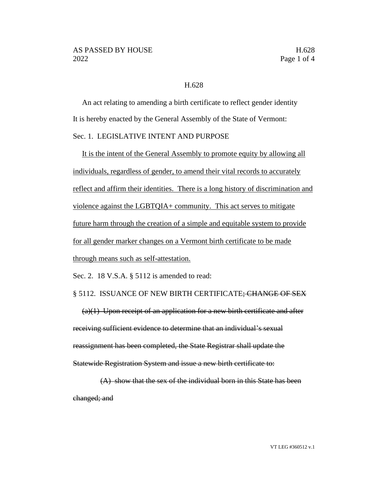## H.628

An act relating to amending a birth certificate to reflect gender identity It is hereby enacted by the General Assembly of the State of Vermont:

## Sec. 1. LEGISLATIVE INTENT AND PURPOSE

It is the intent of the General Assembly to promote equity by allowing all individuals, regardless of gender, to amend their vital records to accurately reflect and affirm their identities. There is a long history of discrimination and violence against the LGBTQIA+ community. This act serves to mitigate future harm through the creation of a simple and equitable system to provide for all gender marker changes on a Vermont birth certificate to be made through means such as self-attestation.

Sec. 2. 18 V.S.A. § 5112 is amended to read:

## § 5112. ISSUANCE OF NEW BIRTH CERTIFICATE; CHANGE OF SEX

 $(a)(1)$  Upon receipt of an application for a new birth certificate and after receiving sufficient evidence to determine that an individual's sexual reassignment has been completed, the State Registrar shall update the Statewide Registration System and issue a new birth certificate to:

(A) show that the sex of the individual born in this State has been changed; and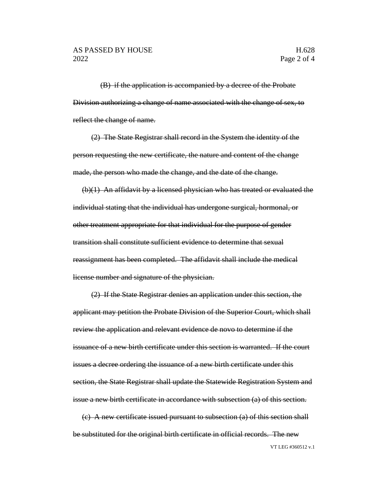(B) if the application is accompanied by a decree of the Probate Division authorizing a change of name associated with the change of sex, to reflect the change of name.

(2) The State Registrar shall record in the System the identity of the person requesting the new certificate, the nature and content of the change made, the person who made the change, and the date of the change.

(b)(1) An affidavit by a licensed physician who has treated or evaluated the individual stating that the individual has undergone surgical, hormonal, or other treatment appropriate for that individual for the purpose of gender transition shall constitute sufficient evidence to determine that sexual reassignment has been completed. The affidavit shall include the medical license number and signature of the physician.

(2) If the State Registrar denies an application under this section, the applicant may petition the Probate Division of the Superior Court, which shall review the application and relevant evidence de novo to determine if the issuance of a new birth certificate under this section is warranted. If the court issues a decree ordering the issuance of a new birth certificate under this section, the State Registrar shall update the Statewide Registration System and issue a new birth certificate in accordance with subsection (a) of this section.

VT LEG #360512 v.1 (c) A new certificate issued pursuant to subsection (a) of this section shall be substituted for the original birth certificate in official records. The new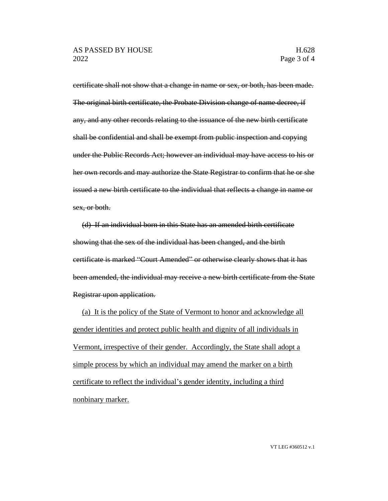certificate shall not show that a change in name or sex, or both, has been made. The original birth certificate, the Probate Division change of name decree, if any, and any other records relating to the issuance of the new birth certificate shall be confidential and shall be exempt from public inspection and copying under the Public Records Act; however an individual may have access to his or her own records and may authorize the State Registrar to confirm that he or she issued a new birth certificate to the individual that reflects a change in name or sex, or both.

(d) If an individual born in this State has an amended birth certificate showing that the sex of the individual has been changed, and the birth certificate is marked "Court Amended" or otherwise clearly shows that it has been amended, the individual may receive a new birth certificate from the State Registrar upon application.

(a) It is the policy of the State of Vermont to honor and acknowledge all gender identities and protect public health and dignity of all individuals in Vermont, irrespective of their gender. Accordingly, the State shall adopt a simple process by which an individual may amend the marker on a birth certificate to reflect the individual's gender identity, including a third nonbinary marker.

VT LEG #360512 v.1